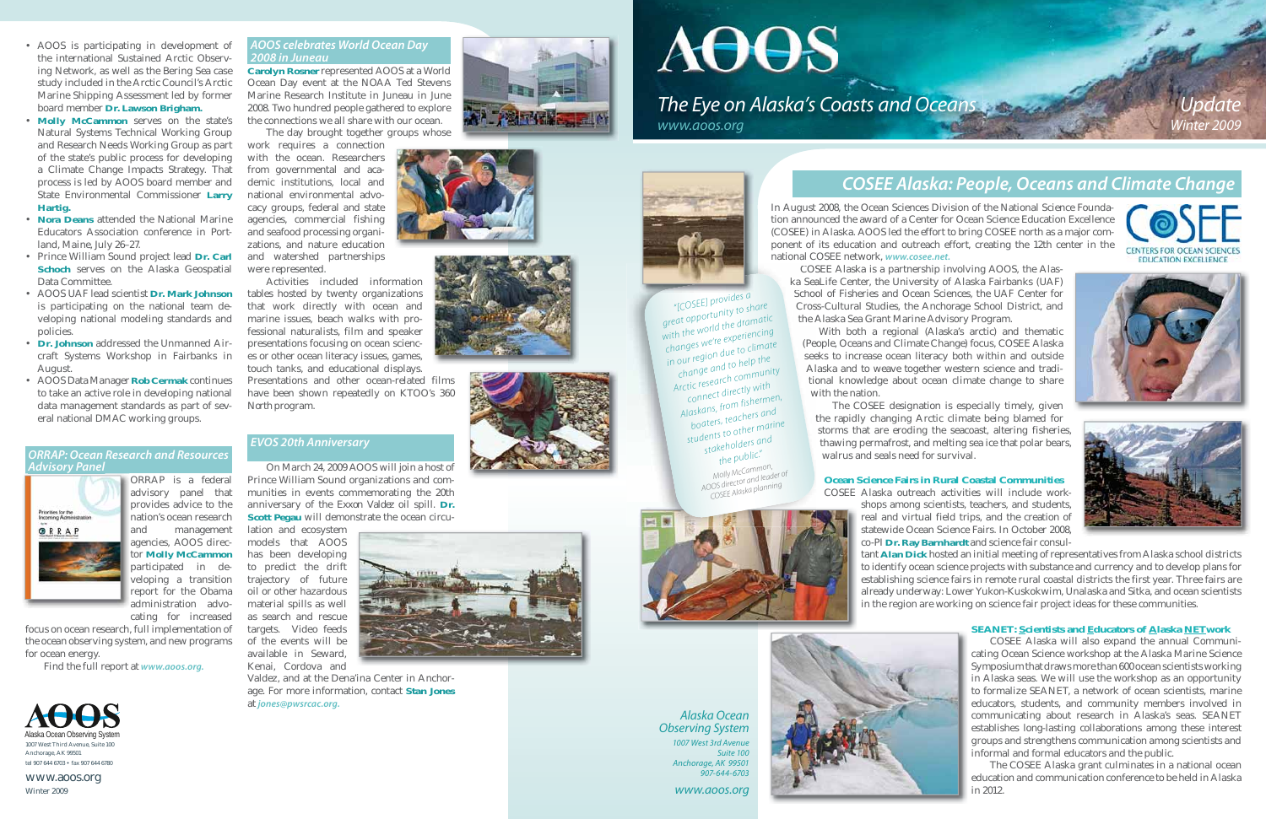

# **AOOS** *www.aoos.org*



*Alaska Ocean Observing System 1007 West 3rd AvenueSuite 100Anchorage, AK 99501*

*907-644-6703 www.aoos.org*





# *COSEE Alaska: People, Oceans and Climate Change*

In August 2008, the Ocean Sciences Division of the National Science Foundation announced the award of a Center for Ocean Science Education Excellence (COSEE) in Alaska. AOOS led the effort to bring COSEE north as a major component of its education and outreach effort, creating the 12th center in the national COSEE network, *www.cosee.net.*

> The COSEE designation is especially timely, given the rapidly changing Arctic climate being blamed for t storms that are eroding the seacoast, altering fisheries, thawing permafrost, and melting sea ice that polar bears, walrus and seals need for survival.

#### **Ocean Science Fairs in Rural Coastal Communities**COSEE Alaska outreach activities will include work-

shops among scientists, teachers, and students, real and virtual field trips, and the creation of statewide Ocean Science Fairs. In October 2008, co-PI **Dr. Ray Barnhardt** and science fair consul-







tant **Alan Dick** hosted an initial meeting of representatives from Alaska school districts to identify ocean science projects with substance and currency and to develop plans for establishing science fairs in remote rural coastal districts the first year. Three fairs are already underway: Lower Yukon-Kuskokwim, Unalaska and Sitka, and ocean scientists in the region are working on science fair project ideas for these communities.



#### **SEANET: Scientists and Educators of Alaska NETwork**

COSEE Alaska will also expand the annual Communicating Ocean Science workshop at the Alaska Marine Science Symposium that draws more than 600 ocean scientists working in Alaska seas. We will use the workshop as an opportunity to formalize SEANET, a network of ocean scientists, marine educators, students, and community members involved in communicating about research in Alaska's seas. SEANET establishes long-lasting collaborations among these interest groups and strengthens communication among scientists and informal and formal educators and the public.

The COSEE Alaska grant culminates in a national ocean education and communication conference to be held in Alaska in 2012.

- AOOS is participating in development of the international Sustained Arctic Observing Network, as well as the Bering Sea case study included in the Arctic Council's Arctic Marine Shipping Assessment led by former board member **Dr. Lawson Brigham.**
- Molly McCammon serves on the state's Natural Systems Technical Working Group and Research Needs Working Group as part of the state's public process for developing a Climate Change Impacts Strategy. That process is led by AOOS board member and State Environmental Commissioner **Larry Hartig.**
- **Nora Deans** attended the National Marine Educators Association conference in Portland, Maine, July 26–27.
- Prince William Sound project lead **Dr. Carl Schoch** serves on the Alaska Geospatial Data Committee.
- AOOS UAF lead scientist **Dr. Mark Johnson**  is participating on the national team developing national modeling standards and policies.
- Dr. Johnson addressed the Unmanned Aircraft Systems Workshop in Fairbanks in August.
- AOOS Data Manager **Rob Cermak** continues to take an active role in developing national data management standards as part of several national DMAC working groups.

COSEE Alaska is a partnership involving AOOS, the Alas-COS ka SeaLife Center, the University of Alaska Fairbanks (UAF) Sea School of Fisheries and Ocean Sciences, the UAF Center for Schoo Cross-Cultural Studies, the Anchorage School District, and Cros the Alaska Sea Grant Marine Advisory Program. A

With both a regional (Alaska's arctic) and thematic (People, Oceans and Climate Change) focus, COSEE Alaska (Peo seeks to increase ocean literacy both within and outside see Alaska and to weave together western science and tradi-Al tional knowledge about ocean climate change to share tio with the nation. w

ORRAP is a federal advisory panel that provides advice to the nation's ocean research and management agencies, AOOS director **Molly McCammon** participated in de-

veloping a transition

report for the Obama administration advocating for increased

focus on ocean research, full implementation of the ocean observing system, and new programs for ocean energy.

Find the full report at *www.aoos.org.*

#### *AOOS celebrates World Ocean Day 2008 in Juneau*

**Carolyn Rosner** represented AOOS at a World Ocean Day event at the NOAA Ted Stevens Marine Research Institute in Juneau in June 2008. Two hundred people gathered to explore the connections we all share with our ocean.

The day brought together groups whose

work requires a connection with the ocean. Researchers from governmental and academic institutions, local and national environmental advocacy groups, federal and state agencies, commercial fishing and seafood processing organizations, and nature education and watershed partnerships were represented.

Activities included information tables hosted by twenty organizations that work directly with ocean and marine issues, beach walks with professional naturalists, film and speaker presentations focusing on ocean sciences or other ocean literacy issues, games, touch tanks, and educational displays. Presentations and other ocean-related films

#### *ORRAP: Ocean Research and Resources Advisory Panel y*



have been shown repeatedly on KTOO's *360 North* program.

# *EVOS 20th Anniversary*

On March 24, 2009 AOOS will join a host of Prince William Sound organizations and communities in events commemorating the 20th anniversary of the *Exxon Valdez* oil spill. **Dr. Scott Pegau** will demonstrate the ocean circu-

lation and ecosystem models that AOOS has been developing to predict the drift trajectory of future oil or other hazardous material spills as well as search and rescue targets. Video feeds of the events will be available in Seward,

Kenai, Cordova and Valdez, and at the Dena'ina Center in Anchorage. For more information, contact **Stan Jones** at *jones@pwsrcac.org.*





www.aoos.org Winter 2009

*"[COSEE] provides a great opportunity to share with the world the dramatic changes we're experiencing in our region due to climate change and to help the Arctic research community connect directly with Alaskans, from fishermen, boaters, teachers and students to other marine stakeholders and the public."* 

*Molly McCammon, AOOS director and leader of COSEE Alaska planning*